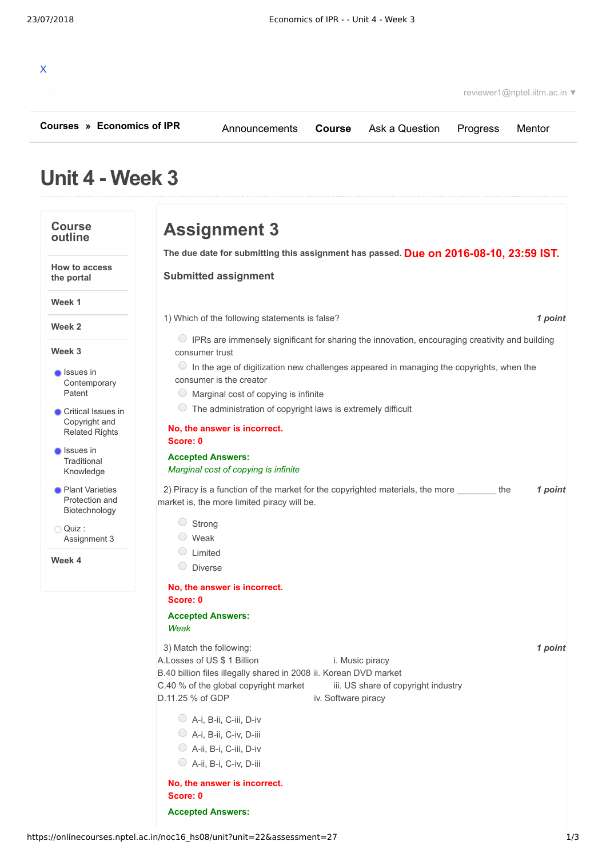| $\mathsf{x}$ |  |  |
|--------------|--|--|
|              |  |  |

reviewer1@nptel.iitm.ac.in ▼

**[Courses](https://onlinecourses.nptel.ac.in/) » [Economics of IPR](https://onlinecourses.nptel.ac.in/noc16_hs08/course)**

[Announcements](https://onlinecourses.nptel.ac.in/noc16_hs08/announcements) **[Course](https://onlinecourses.nptel.ac.in/noc16_hs08/course)** [Ask a Question](https://onlinecourses.nptel.ac.in/noc16_hs08/forum) [Progress](https://onlinecourses.nptel.ac.in/noc16_hs08/student/home) [Mentor](https://onlinecourses.nptel.ac.in/noc16_hs08/student/mentor)

# **Unit 4 - Week 3**

### **Course outline**

**How to access the portal**

**Week 1**

**Week 2**

**Week 3**

**Issues** in [Contemporary](https://onlinecourses.nptel.ac.in/noc16_hs08/unit?unit=22&lesson=23) Patent

- **Critical Issues in** [Copyright](https://onlinecourses.nptel.ac.in/noc16_hs08/unit?unit=22&lesson=24) and Related Rights
- **Issues in Traditional** [Knowledge](https://onlinecourses.nptel.ac.in/noc16_hs08/unit?unit=22&lesson=25)
- **Plant Varieties** Protection and [Biotechnology](https://onlinecourses.nptel.ac.in/noc16_hs08/unit?unit=22&lesson=26)

Quiz : [Assignment](https://onlinecourses.nptel.ac.in/noc16_hs08/assessment?name=27) 3

**Week 4**

**Due on 2016-08-10, 23:59 IST. The due date for submitting this assignment has passed.** 1) *1 point* Which of the following statements is false? 2) Piracy is a function of the market for the copyrighted materials, the more \_\_\_\_\_\_\_\_\_ the  $\qquad \qquad$  **1 point** 3) *1 point* Match the following: **Assignment 3 Submitted assignment** IPRs are immensely significant for sharing the innovation, encouraging creativity and building consumer trust  $\circ$  In the age of digitization new challenges appeared in managing the copyrights, when the consumer is the creator  $\bigcirc$  Marginal cost of copying is infinite  $\circ$  The administration of copyright laws is extremely difficult **No, the answer is incorrect. Score: 0 Accepted Answers:** *Marginal cost of copying is infinite* market is, the more limited piracy will be. C Strong Weak Limited O Diverse **No, the answer is incorrect. Score: 0 Accepted Answers:** *Weak* A.Losses of US \$ 1 Billion i. Music piracy B.40 billion files illegally shared in 2008 ii. Korean DVD market C.40 % of the global copyright market iii. US share of copyright industry D.11.25 % of GDP iv. Software piracy A-i, B-ii, C-iii, D-iv A-i, B-ii, C-iv, D-iii A-ii, B-i, C-iii, D-iv

A-ii, B-i, C-iv, D-iii

#### **No, the answer is incorrect. Score: 0**

**Accepted Answers:**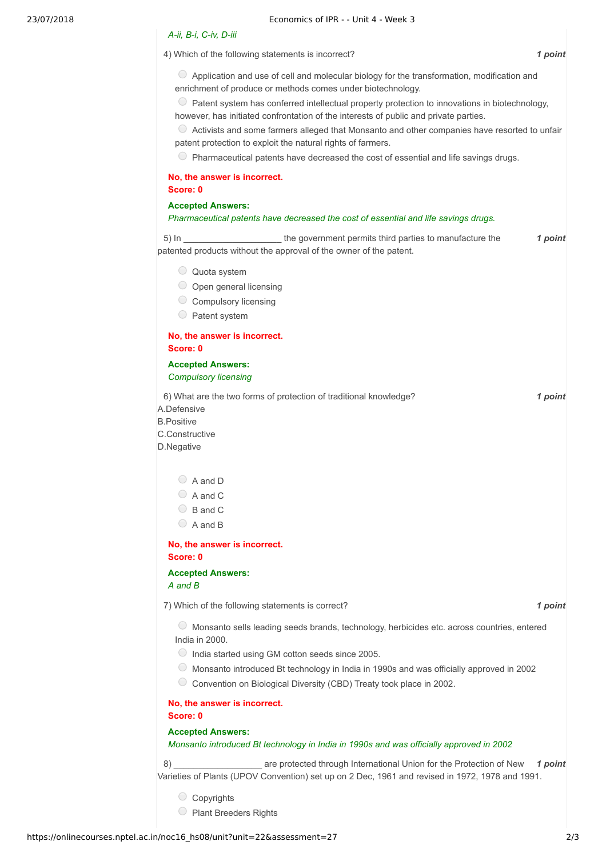#### *A-ii, B-i, C-iv, D-iii*

4) *1 point* Which of the following statements is incorrect?

 $\circ$  Application and use of cell and molecular biology for the transformation, modification and enrichment of produce or methods comes under biotechnology.

 $\circ$  Patent system has conferred intellectual property protection to innovations in biotechnology, however, has initiated confrontation of the interests of public and private parties.

 $\bullet$  Activists and some farmers alleged that Monsanto and other companies have resorted to unfair patent protection to exploit the natural rights of farmers.

 $\circ$  Pharmaceutical patents have decreased the cost of essential and life savings drugs.

# **No, the answer is incorrect.**

**Score: 0**

#### **Accepted Answers:**

#### *Pharmaceutical patents have decreased the cost of essential and life savings drugs.*

5) In \_\_\_\_\_\_\_\_\_\_\_\_\_\_\_\_\_\_\_\_\_\_the government permits third parties to manufacture the the the third point patented products without the approval of the owner of the patent.

- Quota system
- $\bigcirc$  Open general licensing
- C Compulsory licensing
- Patent system

#### **No, the answer is incorrect. Score: 0**

**Accepted Answers:** *Compulsory licensing*

6) *1 point* What are the two forms of protection of traditional knowledge?

A.Defensive

B.Positive

C.Constructive

D.Negative

| A and D |  |
|---------|--|
| A and C |  |

- $\bigcirc$  B and C
- A and B

#### **No, the answer is incorrect. Score: 0**

**Accepted Answers:** *A and B*

7) *1 point* Which of the following statements is correct?

Monsanto sells leading seeds brands, technology, herbicides etc. across countries, entered India in 2000.

- $\bigcirc$  India started using GM cotton seeds since 2005.
- Monsanto introduced Bt technology in India in 1990s and was officially approved in 2002
- C Convention on Biological Diversity (CBD) Treaty took place in 2002.

**No, the answer is incorrect. Score: 0**

**Accepted Answers:**

#### *Monsanto introduced Bt technology in India in 1990s and was officially approved in 2002*

8) **11 1 1 1** *point* **1 point 1 point 1 point 1 point 1 point** Varieties of Plants (UPOV Convention) set up on 2 Dec, 1961 and revised in 1972, 1978 and 1991.

- Copyrights
- Plant Breeders Rights